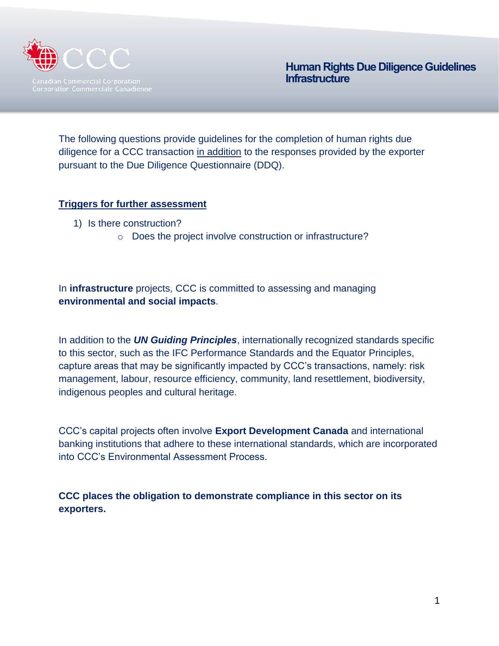

The following questions provide guidelines for the completion of human rights due diligence for a CCC transaction in addition to the responses provided by the exporter pursuant to the Due Diligence Questionnaire (DDQ).

## **Triggers for further assessment**

- 1) Is there construction?
	- o Does the project involve construction or infrastructure?

In **infrastructure** projects, CCC is committed to assessing and managing **environmental and social impacts**.

In addition to the *UN Guiding Principles*, internationally recognized standards specific to this sector, such as the IFC Performance Standards and the Equator Principles, capture areas that may be significantly impacted by CCC's transactions, namely: risk management, labour, resource efficiency, community, land resettlement, biodiversity, indigenous peoples and cultural heritage.

CCC's capital projects often involve **Export Development Canada** and international banking institutions that adhere to these international standards, which are incorporated into CCC's Environmental Assessment Process.

**CCC places the obligation to demonstrate compliance in this sector on its exporters.**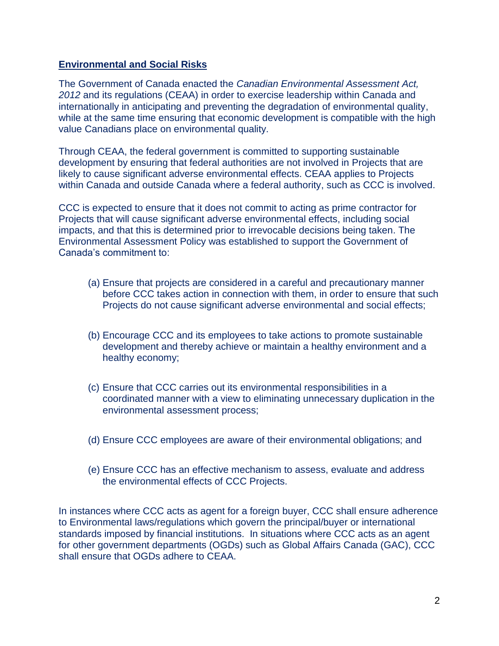#### **Environmental and Social Risks**

The Government of Canada enacted the *Canadian Environmental Assessment Act, 2012* and its regulations (CEAA) in order to exercise leadership within Canada and internationally in anticipating and preventing the degradation of environmental quality, while at the same time ensuring that economic development is compatible with the high value Canadians place on environmental quality.

Through CEAA, the federal government is committed to supporting sustainable development by ensuring that federal authorities are not involved in Projects that are likely to cause significant adverse environmental effects. CEAA applies to Projects within Canada and outside Canada where a federal authority, such as CCC is involved.

CCC is expected to ensure that it does not commit to acting as prime contractor for Projects that will cause significant adverse environmental effects, including social impacts, and that this is determined prior to irrevocable decisions being taken. The Environmental Assessment Policy was established to support the Government of Canada's commitment to:

- (a) Ensure that projects are considered in a careful and precautionary manner before CCC takes action in connection with them, in order to ensure that such Projects do not cause significant adverse environmental and social effects;
- (b) Encourage CCC and its employees to take actions to promote sustainable development and thereby achieve or maintain a healthy environment and a healthy economy;
- (c) Ensure that CCC carries out its environmental responsibilities in a coordinated manner with a view to eliminating unnecessary duplication in the environmental assessment process;
- (d) Ensure CCC employees are aware of their environmental obligations; and
- (e) Ensure CCC has an effective mechanism to assess, evaluate and address the environmental effects of CCC Projects.

In instances where CCC acts as agent for a foreign buyer, CCC shall ensure adherence to Environmental laws/regulations which govern the principal/buyer or international standards imposed by financial institutions. In situations where CCC acts as an agent for other government departments (OGDs) such as Global Affairs Canada (GAC), CCC shall ensure that OGDs adhere to CEAA.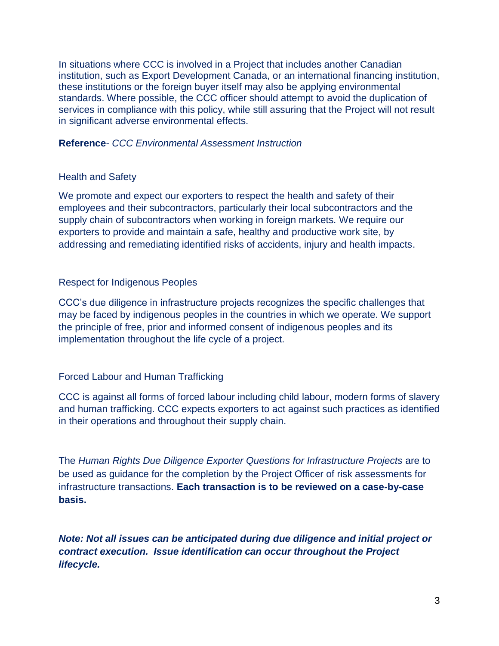In situations where CCC is involved in a Project that includes another Canadian institution, such as Export Development Canada, or an international financing institution, these institutions or the foreign buyer itself may also be applying environmental standards. Where possible, the CCC officer should attempt to avoid the duplication of services in compliance with this policy, while still assuring that the Project will not result in significant adverse environmental effects.

#### **Reference**- *CCC Environmental Assessment Instruction*

## Health and Safety

We promote and expect our exporters to respect the health and safety of their employees and their subcontractors, particularly their local subcontractors and the supply chain of subcontractors when working in foreign markets. We require our exporters to provide and maintain a safe, healthy and productive work site, by addressing and remediating identified risks of accidents, injury and health impacts.

## Respect for Indigenous Peoples

CCC's due diligence in infrastructure projects recognizes the specific challenges that may be faced by indigenous peoples in the countries in which we operate. We support the principle of free, prior and informed consent of indigenous peoples and its implementation throughout the life cycle of a project.

## Forced Labour and Human Trafficking

CCC is against all forms of forced labour including child labour, modern forms of slavery and human trafficking. CCC expects exporters to act against such practices as identified in their operations and throughout their supply chain.

The *Human Rights Due Diligence Exporter Questions for Infrastructure Projects* are to be used as guidance for the completion by the Project Officer of risk assessments for infrastructure transactions. **Each transaction is to be reviewed on a case-by-case basis.**

*Note: Not all issues can be anticipated during due diligence and initial project or contract execution. Issue identification can occur throughout the Project lifecycle.*